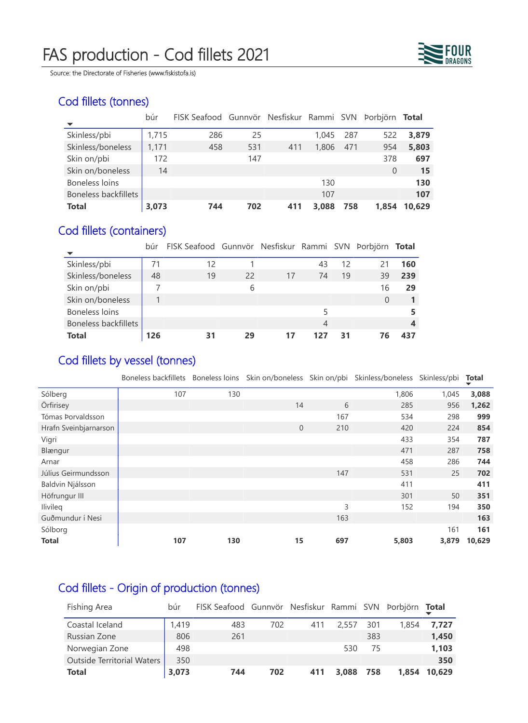## FAS production - Cod fillets 2021



Source: the Directorate of Fisheries (www.fiskistofa.is)

### Cod fillets (tonnes)

|                             | búr   | FISK Seafood Gunnvör Nesfiskur Rammi SVN |     |     |       |     | Þorbjörn Total |        |
|-----------------------------|-------|------------------------------------------|-----|-----|-------|-----|----------------|--------|
|                             |       |                                          |     |     |       |     |                |        |
| Skinless/pbi                | 1,715 | 286                                      | 25  |     | 1.045 | 287 | 522            | 3,879  |
| Skinless/boneless           | 1,171 | 458                                      | 531 | 411 | 1,806 | 471 | 954            | 5,803  |
| Skin on/pbi                 | 172   |                                          | 147 |     |       |     | 378            | 697    |
| Skin on/boneless            | 14    |                                          |     |     |       |     | 0              | 15     |
| <b>Boneless loins</b>       |       |                                          |     |     | 130   |     |                | 130    |
| <b>Boneless backfillets</b> |       |                                          |     |     | 107   |     |                | 107    |
| <b>Total</b>                | 3,073 | 744                                      | 702 | 411 | 3,088 | 758 | 1,854          | 10,629 |

## Cod fillets (containers)

|                             | búr | FISK Seafood Gunnvör Nesfiskur Rammi SVN Þorbjörn Total |    |    |     |    |    |     |
|-----------------------------|-----|---------------------------------------------------------|----|----|-----|----|----|-----|
| Skinless/pbi                | 71  | 12                                                      |    |    | 43  | 12 |    | 160 |
| Skinless/boneless           | 48  | 19                                                      | 22 | 17 | 74  | 19 | 39 | 239 |
| Skin on/pbi                 |     |                                                         | 6  |    |     |    | 16 | 29  |
| Skin on/boneless            |     |                                                         |    |    |     |    | 0  |     |
| <b>Boneless loins</b>       |     |                                                         |    |    |     |    |    |     |
| <b>Boneless backfillets</b> |     |                                                         |    |    | 4   |    |    |     |
| <b>Total</b>                | 126 | 31                                                      | 29 |    | 127 |    |    |     |

#### Cod fillets by vessel (tonnes)

Boneless backfillets Boneless loins Skin on/boneless Skin on/pbi Skinless/boneless Skinless/pbi **Total**

| Sólberg<br>Örfirisey<br>Tómas Þorvaldsson | 107 | 130 |                     |     | 1,806 |       |        |
|-------------------------------------------|-----|-----|---------------------|-----|-------|-------|--------|
|                                           |     |     |                     |     |       | 1,045 | 3,088  |
|                                           |     |     | 14                  | 6   | 285   | 956   | 1,262  |
|                                           |     |     |                     | 167 | 534   | 298   | 999    |
| Hrafn Sveinbjarnarson                     |     |     | $\mathsf{O}\xspace$ | 210 | 420   | 224   | 854    |
| Vigri                                     |     |     |                     |     | 433   | 354   | 787    |
| Blængur                                   |     |     |                     |     | 471   | 287   | 758    |
| Arnar                                     |     |     |                     |     | 458   | 286   | 744    |
| Júlíus Geirmundsson                       |     |     |                     | 147 | 531   | 25    | 702    |
| Baldvin Njálsson                          |     |     |                     |     | 411   |       | 411    |
| Höfrungur III                             |     |     |                     |     | 301   | 50    | 351    |
| Ilivileg                                  |     |     |                     | 3   | 152   | 194   | 350    |
| Guðmundur í Nesi                          |     |     |                     | 163 |       |       | 163    |
| Sólborg                                   |     |     |                     |     |       | 161   | 161    |
| <b>Total</b>                              | 107 | 130 | 15                  | 697 | 5,803 | 3,879 | 10,629 |

## Cod fillets - Origin of production (tonnes)

| Fishing Area                      | búr   | FISK Seafood Gunnvör Nesfiskur Rammi SVN Þorbjörn Total |     |     |           |     |       |        |
|-----------------------------------|-------|---------------------------------------------------------|-----|-----|-----------|-----|-------|--------|
| Coastal Iceland                   | 1,419 | 483                                                     | 702 | 411 | 2,557     | 301 | 1.854 | 7,727  |
| Russian Zone                      | 806   | 261                                                     |     |     |           | 383 |       | 1,450  |
| Norwegian Zone                    | 498   |                                                         |     |     | 530       | 75  |       | 1,103  |
| <b>Outside Territorial Waters</b> | 350   |                                                         |     |     |           |     |       | 350    |
| <b>Total</b>                      | 3,073 | 744                                                     | 702 | 411 | 3,088 758 |     | 1,854 | 10,629 |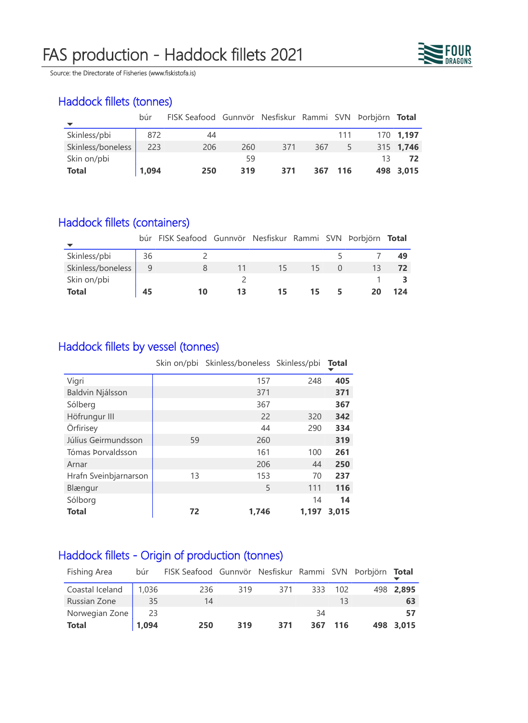# FAS production - Haddock fillets 2021



Source: the Directorate of Fisheries (www.fiskistofa.is)

### Haddock fillets (tonnes)

|                   | búr   | FISK Seafood Gunnvör Nesfiskur Rammi SVN Þorbjörn Total |     |     |     |      |    |           |
|-------------------|-------|---------------------------------------------------------|-----|-----|-----|------|----|-----------|
| Skinless/pbi      | 872   | 44                                                      |     |     |     | 111  |    | 170 1,197 |
| Skinless/boneless | 223   | 206                                                     | 260 | 371 | 367 | 5    |    | 315 1,746 |
| Skin on/pbi       |       |                                                         | 59  |     |     |      | 13 |           |
| <b>Total</b>      | 1,094 | 250                                                     | 319 | 371 | 367 | -116 |    | 498 3,015 |

## Haddock fillets (containers)

|                   |    | búr FISK Seafood Gunnvör Nesfiskur Rammi SVN Þorbjörn Total |    |    |    |    |     |
|-------------------|----|-------------------------------------------------------------|----|----|----|----|-----|
| Skinless/pbi      | 36 |                                                             |    |    |    |    | 49  |
| Skinless/boneless | 9  | 8                                                           | 11 | 15 | 15 | 13 |     |
| Skin on/pbi       |    |                                                             |    |    |    |    |     |
| <b>Total</b>      | 45 | 10                                                          | 13 | 15 | 15 |    | 124 |

## Haddock fillets by vessel (tonnes)

|                       |    | Skin on/pbi Skinless/boneless Skinless/pbi |       | <b>Total</b> |
|-----------------------|----|--------------------------------------------|-------|--------------|
| Vigri                 |    | 157                                        | 248   | 405          |
| Baldvin Njálsson      |    | 371                                        |       | 371          |
| Sólberg               |    | 367                                        |       | 367          |
| Höfrungur III         |    | 22                                         | 320   | 342          |
| Örfirisey             |    | 44                                         | 290   | 334          |
| Júlíus Geirmundsson   | 59 | 260                                        |       | 319          |
| Tómas Þorvaldsson     |    | 161                                        | 100   | 261          |
| Arnar                 |    | 206                                        | 44    | 250          |
| Hrafn Sveinbjarnarson | 13 | 153                                        | 70    | 237          |
| Blængur               |    | 5                                          | 111   | 116          |
| Sólborg               |    |                                            | 14    | 14           |
| <b>Total</b>          | 72 | 1,746                                      | 1,197 | 3,015        |

## Haddock fillets - Origin of production (tonnes)

| Fishing Area    | búr   | FISK Seafood Gunnvör Nesfiskur Rammi SVN Þorbjörn |     |     |     |     | Total     |
|-----------------|-------|---------------------------------------------------|-----|-----|-----|-----|-----------|
| Coastal Iceland | 1,036 | 236                                               | 319 | 371 | 333 | 102 | 498 2,895 |
| Russian Zone    | 35    | 14                                                |     |     |     |     | 63        |
| Norwegian Zone  | 23    |                                                   |     |     | 34  |     | 57        |
| <b>Total</b>    | 1,094 | 250                                               | 319 | 371 | 367 | 116 | 498 3,015 |